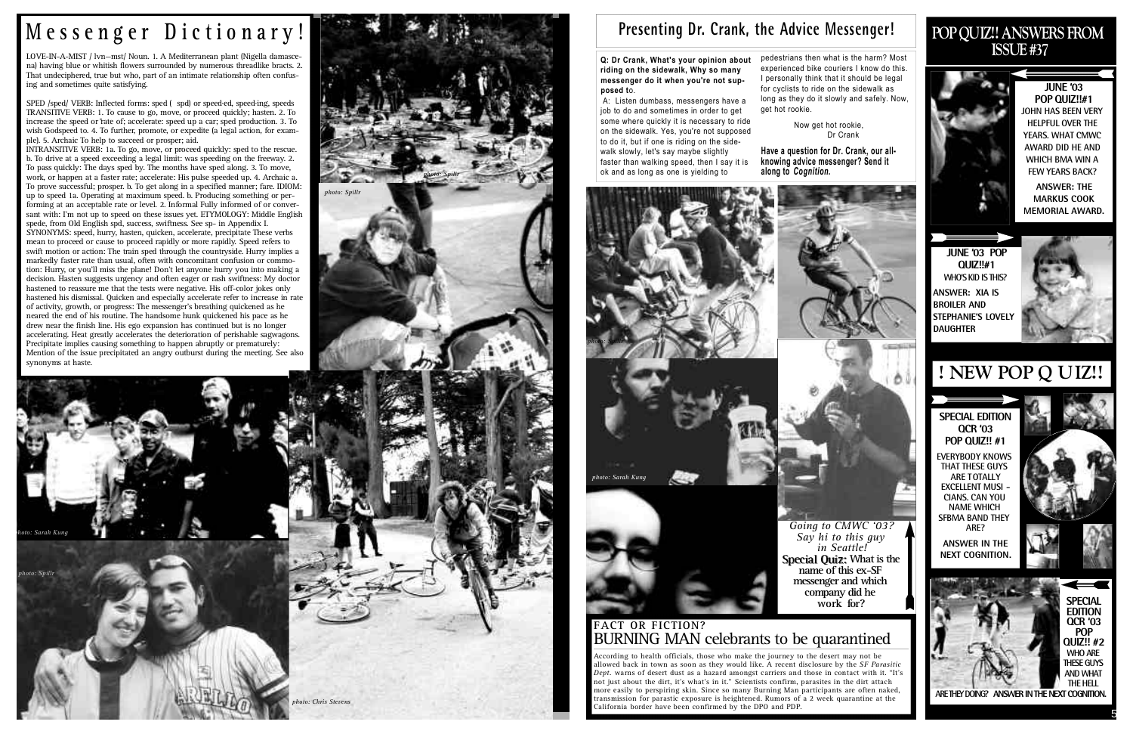#### **POP QUIZ!! ANSWERS FROM ISSUE #37**



**JUNE '03 POP QUIZ!!#1 JOHN HAS BEEN VERY HELPFUL OVER THE YEARS. WHAT CMWC AWARD DID HE AND WHICH BMA WIN A FEW YEARS BACK?**

**ANSWER: THE MARKUS COOK MEMORIAL AWARD.**

**JUNE '03 POP Q U I Z ! ! # 1 WHO'S KID IS THIS? ANSWER: XIA IS BROILER AND STEPHANIE'S LOVELY DAUGHTER** 



**SPECIAL EDITION QCR '03 POP QUIZ!! #1**

**EVERYBODY KNOWS THAT THESE GUYS ARE TOTALLY EXCELLENT MUSI - CIANS. CAN YOU NAME WHICH SFBMA BAND THEY ARE?**

**ANSWER IN THE NEXT COGNITION.**



LOVE-IN-A-MIST / lvn-mst/ Noun. 1. A Mediterranean plant (Nigella damascena) having blue or whitish flowers surrounded by numerous threadlike bracts. 2. That undeciphered, true but who, part of an intimate relationship often confusing and sometimes quite satisfying.

### **! NEW POP Q UIZ!!**

SPED /sped/ VERB: Inflected forms: sped ( spd) or speed·ed, speed·ing, speeds TRANSITIVE VERB: 1. To cause to go, move, or proceed quickly; hasten. 2. To increase the speed or rate of; accelerate: speed up a car; sped production. 3. To wish Godspeed to. 4. To further, promote, or expedite (a legal action, for example). 5. Archaic To help to succeed or prosper; aid.

**Q: Dr Crank, What's your opinion about riding on the sidewalk, Why so many messenger do it when you're not sup**posed to.

INTRANSITIVE VERB: 1a. To go, move, or proceed quickly: sped to the rescue. b. To drive at a speed exceeding a legal limit: was speeding on the freeway. 2. To pass quickly: The days sped by. The months have sped along. 3. To move, work, or happen at a faster rate; accelerate: His pulse speeded up. 4. Archaic a. To prove successful; prosper. b. To get along in a specified manner; fare. IDIOM: up to speed 1a. Operating at maximum speed. b. Producing something or performing at an acceptable rate or level. 2. Informal Fully informed of or conversant with: I'm not up to speed on these issues yet. ETYMOLOGY: Middle English spede, from Old English spd, success, swiftness. See sp- in Appendix I.

**Have a question for Dr. Crank, our allknowing advice messenger? Send it** along to *Cognition*.

> *Going to CMWC '03? Say hi to this guy in Seattle!* **Special Quiz: What is the name of this ex-SF messenger and which company did he**  work for?

#### **FACT OR FICTION?** BURNING MAN celebrants to be quarantined

SYNONYMS: speed, hurry, hasten, quicken, accelerate, precipitate These verbs mean to proceed or cause to proceed rapidly or more rapidly. Speed refers to swift motion or action: The train sped through the countryside. Hurry implies a markedly faster rate than usual, often with concomitant confusion or commotion: Hurry, or you'll miss the plane! Don't let anyone hurry you into making a decision. Hasten suggests urgency and often eager or rash swiftness: My doctor hastened to reassure me that the tests were negative. His off-color jokes only hastened his dismissal. Quicken and especially accelerate refer to increase in rate of activity, growth, or progress: The messenger's breathing quickened as he neared the end of his routine. The handsome hunk quickened his pace as he drew near the finish line. His ego expansion has continued but is no longer accelerating. Heat greatly accelerates the deterioration of perishable sagwagons. Precipitate implies causing something to happen abruptly or prematurely: Mention of the issue precipitated an angry outburst during the meeting. See also synonyms at haste.

# **M e s s e n g e r D i c t i o n a r y !**

A: Listen dumbass, messengers have a job to do and sometimes in order to get some where quickly it is necessary to ride on the sidewalk. Yes, you're not supposed to do it, but if one is riding on the sidewalk slowly, let's say maybe slightly faster than walking speed, then I say it is ok and as long as one is yielding to

pedestrians then what is the harm? Most experienced bike couriers I know do this. I personally think that it should be legal for cyclists to ride on the sidewalk as long as they do it slowly and safely. Now, get hot rookie.

> Now get hot rookie, Dr Crank



5







### Presenting Dr. Crank, the Advice Messenger!





According to health officials, those who make the journey to the desert may not be allowed back in town as soon as they would like. A recent disclosure by the *SF Parasitic Dept.* warns of desert dust as a hazard amongst carriers and those in contact with it. "It's not just about the dirt, it's what's in it." Scientists confirm, parasites in the dirt attach more easily to perspiring skin. Since so many Burning Man participants are often naked, transmission for parastic exposure is heightened. Rumors of a 2 week quarantine at the California border have been confirmed by the DPO and PDP.